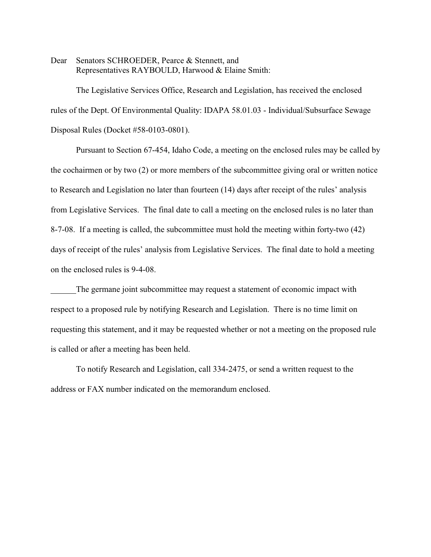Dear Senators SCHROEDER, Pearce & Stennett, and Representatives RAYBOULD, Harwood & Elaine Smith:

The Legislative Services Office, Research and Legislation, has received the enclosed rules of the Dept. Of Environmental Quality: IDAPA 58.01.03 - Individual/Subsurface Sewage Disposal Rules (Docket #58-0103-0801).

Pursuant to Section 67-454, Idaho Code, a meeting on the enclosed rules may be called by the cochairmen or by two (2) or more members of the subcommittee giving oral or written notice to Research and Legislation no later than fourteen (14) days after receipt of the rules' analysis from Legislative Services. The final date to call a meeting on the enclosed rules is no later than 8-7-08. If a meeting is called, the subcommittee must hold the meeting within forty-two (42) days of receipt of the rules' analysis from Legislative Services. The final date to hold a meeting on the enclosed rules is 9-4-08.

The germane joint subcommittee may request a statement of economic impact with respect to a proposed rule by notifying Research and Legislation. There is no time limit on requesting this statement, and it may be requested whether or not a meeting on the proposed rule is called or after a meeting has been held.

To notify Research and Legislation, call 334-2475, or send a written request to the address or FAX number indicated on the memorandum enclosed.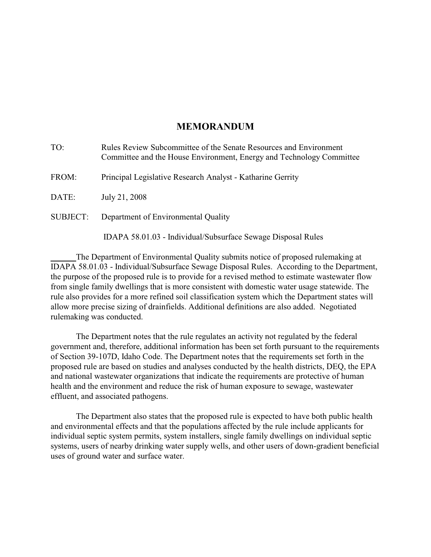# **MEMORANDUM**

| TO:             | Rules Review Subcommittee of the Senate Resources and Environment<br>Committee and the House Environment, Energy and Technology Committee |
|-----------------|-------------------------------------------------------------------------------------------------------------------------------------------|
| FROM:           | Principal Legislative Research Analyst - Katharine Gerrity                                                                                |
| DATE:           | July 21, 2008                                                                                                                             |
| <b>SUBJECT:</b> | Department of Environmental Quality                                                                                                       |
|                 | IDAPA 58.01.03 - Individual/Subsurface Sewage Disposal Rules                                                                              |

The Department of Environmental Quality submits notice of proposed rulemaking at IDAPA 58.01.03 - Individual/Subsurface Sewage Disposal Rules. According to the Department, the purpose of the proposed rule is to provide for a revised method to estimate wastewater flow from single family dwellings that is more consistent with domestic water usage statewide. The rule also provides for a more refined soil classification system which the Department states will allow more precise sizing of drainfields. Additional definitions are also added. Negotiated rulemaking was conducted.

The Department notes that the rule regulates an activity not regulated by the federal government and, therefore, additional information has been set forth pursuant to the requirements of Section 39-107D, Idaho Code. The Department notes that the requirements set forth in the proposed rule are based on studies and analyses conducted by the health districts, DEQ, the EPA and national wastewater organizations that indicate the requirements are protective of human health and the environment and reduce the risk of human exposure to sewage, wastewater effluent, and associated pathogens.

The Department also states that the proposed rule is expected to have both public health and environmental effects and that the populations affected by the rule include applicants for individual septic system permits, system installers, single family dwellings on individual septic systems, users of nearby drinking water supply wells, and other users of down-gradient beneficial uses of ground water and surface water.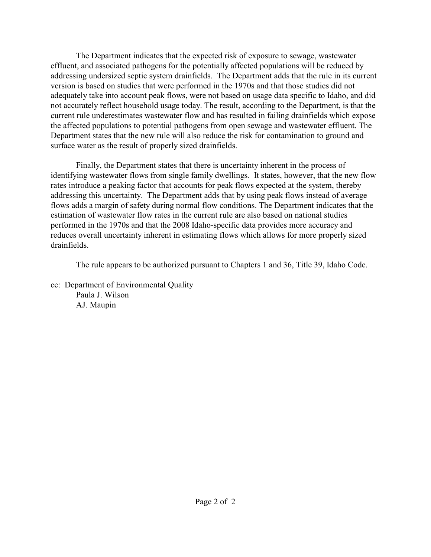The Department indicates that the expected risk of exposure to sewage, wastewater effluent, and associated pathogens for the potentially affected populations will be reduced by addressing undersized septic system drainfields. The Department adds that the rule in its current version is based on studies that were performed in the 1970s and that those studies did not adequately take into account peak flows, were not based on usage data specific to Idaho, and did not accurately reflect household usage today. The result, according to the Department, is that the current rule underestimates wastewater flow and has resulted in failing drainfields which expose the affected populations to potential pathogens from open sewage and wastewater effluent. The Department states that the new rule will also reduce the risk for contamination to ground and surface water as the result of properly sized drainfields.

Finally, the Department states that there is uncertainty inherent in the process of identifying wastewater flows from single family dwellings. It states, however, that the new flow rates introduce a peaking factor that accounts for peak flows expected at the system, thereby addressing this uncertainty. The Department adds that by using peak flows instead of average flows adds a margin of safety during normal flow conditions. The Department indicates that the estimation of wastewater flow rates in the current rule are also based on national studies performed in the 1970s and that the 2008 Idaho-specific data provides more accuracy and reduces overall uncertainty inherent in estimating flows which allows for more properly sized drainfields.

The rule appears to be authorized pursuant to Chapters 1 and 36, Title 39, Idaho Code.

cc: Department of Environmental Quality Paula J. Wilson AJ. Maupin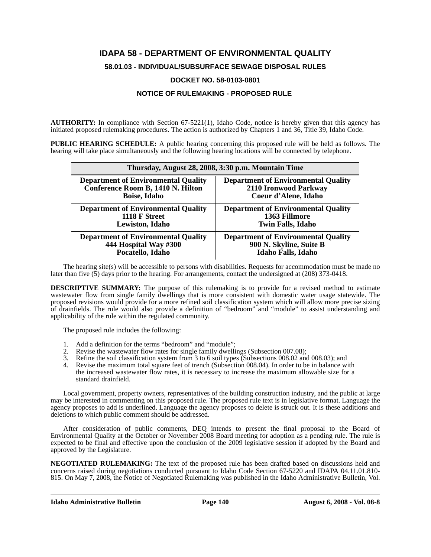# **IDAPA 58 - DEPARTMENT OF ENVIRONMENTAL QUALITY**

**58.01.03 - INDIVIDUAL/SUBSURFACE SEWAGE DISPOSAL RULES**

## **DOCKET NO. 58-0103-0801**

## **NOTICE OF RULEMAKING - PROPOSED RULE**

**AUTHORITY:** In compliance with Section 67-5221(1), Idaho Code, notice is hereby given that this agency has initiated proposed rulemaking procedures. The action is authorized by Chapters 1 and 36, Title 39, Idaho Code.

**PUBLIC HEARING SCHEDULE:** A public hearing concerning this proposed rule will be held as follows. The hearing will take place simultaneously and the following hearing locations will be connected by telephone.

| Thursday, August 28, 2008, 3:30 p.m. Mountain Time |                                            |  |  |
|----------------------------------------------------|--------------------------------------------|--|--|
| <b>Department of Environmental Quality</b>         | <b>Department of Environmental Quality</b> |  |  |
| Conference Room B, 1410 N. Hilton                  | 2110 Ironwood Parkway                      |  |  |
| <b>Boise, Idaho</b>                                | Coeur d'Alene, Idaho                       |  |  |
| <b>Department of Environmental Quality</b>         | <b>Department of Environmental Quality</b> |  |  |
| 1118 F Street                                      | 1363 Fillmore                              |  |  |
| Lewiston, Idaho                                    | <b>Twin Falls, Idaho</b>                   |  |  |
| <b>Department of Environmental Quality</b>         | <b>Department of Environmental Quality</b> |  |  |
| 444 Hospital Way #300                              | 900 N. Skyline, Suite B                    |  |  |
| Pocatello, Idaho                                   | <b>Idaho Falls</b> , Idaho                 |  |  |

The hearing site(s) will be accessible to persons with disabilities. Requests for accommodation must be made no later than five (5) days prior to the hearing. For arrangements, contact the undersigned at (208) 373-0418.

**DESCRIPTIVE SUMMARY:** The purpose of this rulemaking is to provide for a revised method to estimate wastewater flow from single family dwellings that is more consistent with domestic water usage statewide. The proposed revisions would provide for a more refined soil classification system which will allow more precise sizing of drainfields. The rule would also provide a definition of "bedroom" and "module" to assist understanding and applicability of the rule within the regulated community.

The proposed rule includes the following:

- 1. Add a definition for the terms "bedroom" and "module";
- 2. Revise the wastewater flow rates for single family dwellings (Subsection 007.08);
- 3. Refine the soil classification system from 3 to 6 soil types (Subsections 008.02 and 008.03); and
- 4. Revise the maximum total square feet of trench (Subsection 008.04). In order to be in balance with the increased wastewater flow rates, it is necessary to increase the maximum allowable size for a standard drainfield.

Local government, property owners, representatives of the building construction industry, and the public at large may be interested in commenting on this proposed rule. The proposed rule text is in legislative format. Language the agency proposes to add is underlined. Language the agency proposes to delete is struck out. It is these additions and deletions to which public comment should be addressed.

After consideration of public comments, DEQ intends to present the final proposal to the Board of Environmental Quality at the October or November 2008 Board meeting for adoption as a pending rule. The rule is expected to be final and effective upon the conclusion of the 2009 legislative session if adopted by the Board and approved by the Legislature.

**NEGOTIATED RULEMAKING:** The text of the proposed rule has been drafted based on discussions held and concerns raised during negotiations conducted pursuant to Idaho Code Section 67-5220 and IDAPA 04.11.01.810- 815. On May 7, 2008, the Notice of Negotiated Rulemaking was published in the Idaho Administrative Bulletin, Vol.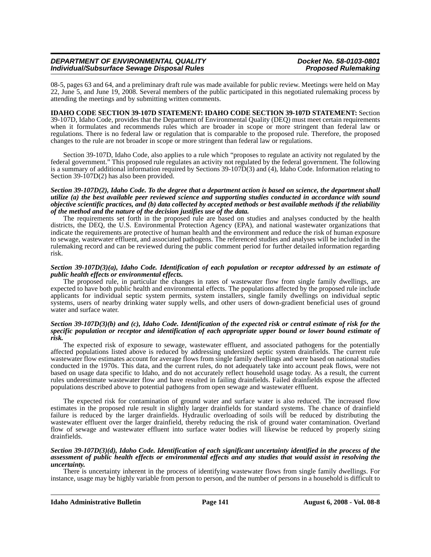08-5, pages 63 and 64, and a preliminary draft rule was made available for public review. Meetings were held on May 22, June 5, and June 19, 2008. Several members of the public participated in this negotiated rulemaking process by attending the meetings and by submitting written comments.

### **IDAHO CODE SECTION 39-107D STATEMENT: IDAHO CODE SECTION 39-107D STATEMENT:** Section

39-107D, Idaho Code, provides that the Department of Environmental Quality (DEQ) must meet certain requirements when it formulates and recommends rules which are broader in scope or more stringent than federal law or regulations. There is no federal law or regulation that is comparable to the proposed rule. Therefore, the proposed changes to the rule are not broader in scope or more stringent than federal law or regulations.

Section 39-107D, Idaho Code, also applies to a rule which "proposes to regulate an activity not regulated by the federal government." This proposed rule regulates an activity not regulated by the federal government. The following is a summary of additional information required by Sections 39-107D(3) and (4), Idaho Code. Information relating to Section 39-107D(2) has also been provided.

#### *Section 39-107D(2), Idaho Code. To the degree that a department action is based on science, the department shall utilize (a) the best available peer reviewed science and supporting studies conducted in accordance with sound objective scientific practices, and (b) data collected by accepted methods or best available methods if the reliability of the method and the nature of the decision justifies use of the data.*

The requirements set forth in the proposed rule are based on studies and analyses conducted by the health districts, the DEQ, the U.S. Environmental Protection Agency (EPA), and national wastewater organizations that indicate the requirements are protective of human health and the environment and reduce the risk of human exposure to sewage, wastewater effluent, and associated pathogens. The referenced studies and analyses will be included in the rulemaking record and can be reviewed during the public comment period for further detailed information regarding risk.

#### *Section 39-107D(3)(a), Idaho Code. Identification of each population or receptor addressed by an estimate of public health effects or environmental effects.*

The proposed rule, in particular the changes in rates of wastewater flow from single family dwellings, are expected to have both public health and environmental effects. The populations affected by the proposed rule include applicants for individual septic system permits, system installers, single family dwellings on individual septic systems, users of nearby drinking water supply wells, and other users of down-gradient beneficial uses of ground water and surface water.

#### *Section 39-107D(3)(b) and (c), Idaho Code. Identification of the expected risk or central estimate of risk for the specific population or receptor and identification of each appropriate upper bound or lower bound estimate of risk.*

The expected risk of exposure to sewage, wastewater effluent, and associated pathogens for the potentially affected populations listed above is reduced by addressing undersized septic system drainfields. The current rule wastewater flow estimates account for average flows from single family dwellings and were based on national studies conducted in the 1970s. This data, and the current rules, do not adequately take into account peak flows, were not based on usage data specific to Idaho, and do not accurately reflect household usage today. As a result, the current rules underestimate wastewater flow and have resulted in failing drainfields. Failed drainfields expose the affected populations described above to potential pathogens from open sewage and wastewater effluent.

The expected risk for contamination of ground water and surface water is also reduced. The increased flow estimates in the proposed rule result in slightly larger drainfields for standard systems. The chance of drainfield failure is reduced by the larger drainfields. Hydraulic overloading of soils will be reduced by distributing the wastewater effluent over the larger drainfield, thereby reducing the risk of ground water contamination. Overland flow of sewage and wastewater effluent into surface water bodies will likewise be reduced by properly sizing drainfields.

#### *Section 39-107D(3)(d), Idaho Code. Identification of each significant uncertainty identified in the process of the assessment of public health effects or environmental effects and any studies that would assist in resolving the uncertainty.*

There is uncertainty inherent in the process of identifying wastewater flows from single family dwellings. For instance, usage may be highly variable from person to person, and the number of persons in a household is difficult to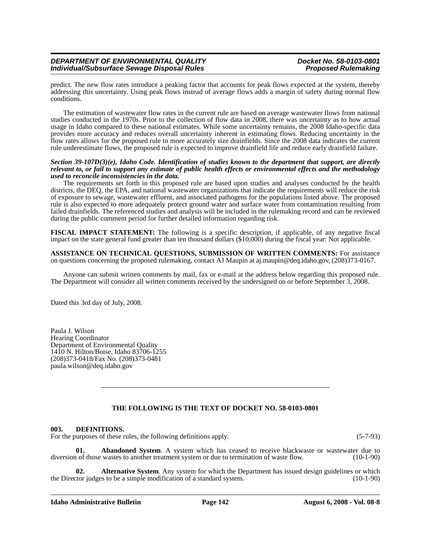predict. The new flow rates introduce a peaking factor that accounts for peak flows expected at the system, thereby addressing this uncertainty. Using peak flows instead of average flows adds a margin of safety during normal flow conditions.

The estimation of wastewater flow rates in the current rule are based on average wastewater flows from national studies conducted in the 1970s. Prior to the collection of flow data in 2008, there was uncertainty as to how actual usage in Idaho compared to these national estimates. While some uncertainty remains, the 2008 Idaho-specific data provides more accuracy and reduces overall uncertainty inherent in estimating flows. Reducing uncertainty in the flow rates allows for the proposed rule to more accurately size drainfields. Since the 2008 data indicates the current rule underestimate flows, the proposed rule is expected to improve drainfield life and reduce early drainfield failure.

#### *Section 39-107D(3)(e), Idaho Code. Identification of studies known to the department that support, are directly relevant to, or fail to support any estimate of public health effects or environmental effects and the methodology used to reconcile inconsistencies in the data.*

The requirements set forth in this proposed rule are based upon studies and analyses conducted by the health districts, the DEQ, the EPA, and national wastewater organizations that indicate the requirements will reduce the risk of exposure to sewage, wastewater effluent, and associated pathogens for the populations listed above. The proposed rule is also expected to more adequately protect ground water and surface water from contamination resulting from failed drainfields. The referenced studies and analysis will be included in the rulemaking record and can be reviewed during the public comment period for further detailed information regarding risk.

**FISCAL IMPACT STATEMENT:** The following is a specific description, if applicable, of any negative fiscal impact on the state general fund greater than ten thousand dollars (\$10,000) during the fiscal year: Not applicable.

**ASSISTANCE ON TECHNICAL QUESTIONS, SUBMISSION OF WRITTEN COMMENTS:** For assistance on questions concerning the proposed rulemaking, contact AJ Maupin at aj.maupin@deq.idaho.gov, (208)373-0167.

Anyone can submit written comments by mail, fax or e-mail at the address below regarding this proposed rule. The Department will consider all written comments received by the undersigned on or before September 3, 2008.

Dated this 3rd day of July, 2008.

Paula J. Wilson Hearing Coordinator Department of Environmental Quality 1410 N. Hilton/Boise, Idaho 83706-1255 (208)373-0418/Fax No. (208)373-0481 paula.wilson@deq.idaho.gov

## **THE FOLLOWING IS THE TEXT OF DOCKET NO. 58-0103-0801**

### **003. DEFINITIONS.**

For the purposes of these rules, the following definitions apply. (5-7-93)

**01. Abandoned System**. A system which has ceased to receive blackwaste or wastewater due to diversion of those wastes to another treatment system or due to termination of waste flow. (10-1-90)

**02. Alternative System**. Any system for which the Department has issued design guidelines or which the Director judges to be a simple modification of a standard system. (10-1-90)

#### **Idaho Administrative Bulletin Page 142 August 6, 2008 - Vol. 08-8**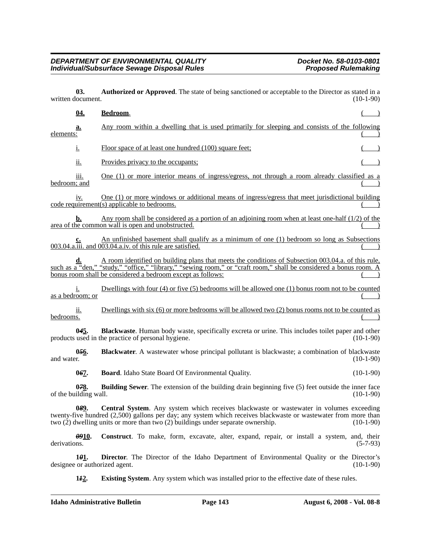**03.** Authorized or Approved. The state of being sanctioned or acceptable to the Director as stated in a locument. (10-1-90) written document.

| <u>04.</u>                    | Bedroom.                                                                                                                                                                                                                                                                                         |             |
|-------------------------------|--------------------------------------------------------------------------------------------------------------------------------------------------------------------------------------------------------------------------------------------------------------------------------------------------|-------------|
| <u>a.</u><br>elements:        | Any room within a dwelling that is used primarily for sleeping and consists of the following                                                                                                                                                                                                     |             |
| i.                            | Floor space of at least one hundred (100) square feet;                                                                                                                                                                                                                                           |             |
| $\overline{\mathbf{11}}$ .    | Provides privacy to the occupants;                                                                                                                                                                                                                                                               |             |
| 111.<br>bedroom; and          | One (1) or more interior means of ingress/egress, not through a room already classified as a                                                                                                                                                                                                     |             |
| iv.                           | One (1) or more windows or additional means of ingress/egress that meet jurisdictional building<br>code requirement(s) applicable to bedrooms.                                                                                                                                                   |             |
| b.                            | Any room shall be considered as a portion of an adjoining room when at least one-half $(1/2)$ of the<br>area of the common wall is open and unobstructed.                                                                                                                                        |             |
|                               | An unfinished basement shall qualify as a minimum of one (1) bedroom so long as Subsections<br>003.04.a.iii. and 003.04.a.iv. of this rule are satisfied.                                                                                                                                        |             |
|                               | A room identified on building plans that meets the conditions of Subsection 003.04.a. of this rule,<br>such as a "den," "study," "office," "library," "sewing room," or "craft room," shall be considered a bonus room. A<br>bonus room shall be considered a bedroom except as follows:         |             |
| 1.<br>as a bedroom; or        | Dwellings with four (4) or five (5) bedrooms will be allowed one (1) bonus room not to be counted                                                                                                                                                                                                |             |
| ii.<br>bedrooms.              | Dwellings with six $(6)$ or more bedrooms will be allowed two $(2)$ bonus rooms not to be counted as                                                                                                                                                                                             |             |
| 045.                          | Blackwaste. Human body waste, specifically excreta or urine. This includes toilet paper and other<br>products used in the practice of personal hygiene.                                                                                                                                          | $(10-1-90)$ |
| 056.<br>and water.            | Blackwater. A wastewater whose principal pollutant is blackwaste; a combination of blackwaste                                                                                                                                                                                                    | $(10-1-90)$ |
| 067.                          | <b>Board.</b> Idaho State Board Of Environmental Quality.                                                                                                                                                                                                                                        | $(10-1-90)$ |
| 078.<br>of the building wall. | Building Sewer. The extension of the building drain beginning five (5) feet outside the inner face                                                                                                                                                                                               | $(10-1-90)$ |
| 089.                          | Central System. Any system which receives blackwaste or wastewater in volumes exceeding<br>twenty-five hundred (2,500) gallons per day; any system which receives blackwaste or wastewater from more than<br>two $(2)$ dwelling units or more than two $(2)$ buildings under separate ownership. | $(10-1-90)$ |
| <i>09</i> 10.<br>derivations. | Construct. To make, form, excavate, alter, expand, repair, or install a system, and, their                                                                                                                                                                                                       | $(5-7-93)$  |
| 101.                          | <b>Director.</b> The Director of the Idaho Department of Environmental Quality or the Director's<br>designee or authorized agent.                                                                                                                                                                | $(10-1-90)$ |

**1***1***2. Existing System**. Any system which was installed prior to the effective date of these rules.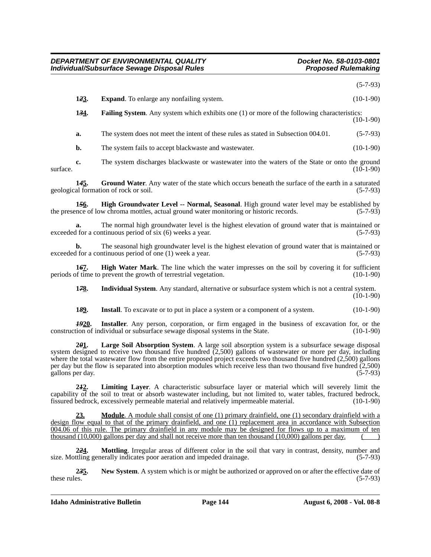(5-7-93)

| 123. | <b>Expand.</b> To enlarge any nonfailing system.                                                   | $(10-1-90)$ |
|------|----------------------------------------------------------------------------------------------------|-------------|
| 134. | <b>Failing System.</b> Any system which exhibits one (1) or more of the following characteristics: |             |

(10-1-90)

**a.** The system does not meet the intent of these rules as stated in Subsection 004.01. (5-7-93)

**b.** The system fails to accept blackwaste and wastewater. (10-1-90)

**c.** The system discharges blackwaste or wastewater into the waters of the State or onto the ground (10-1-90)  $\frac{1}{10-1-90}$  (10-1-90)

**14<u>5</u>.** Ground Water. Any water of the state which occurs beneath the surface of the earth in a saturated al formation of rock or soil. (5-7-93) geological formation of rock or soil.

**1***5***6. High Groundwater Level -- Normal, Seasonal**. High ground water level may be established by the presence of low chroma mottles, actual ground water monitoring or historic records. (5-7-93)

**a.** The normal high groundwater level is the highest elevation of ground water that is maintained or 1 for a continuous period of six (6) weeks a vear. exceeded for a continuous period of six  $(6)$  weeks a year.

**b.** The seasonal high groundwater level is the highest elevation of ground water that is maintained or exceeded for a continuous period of one (1) week a year. (5-7-93)

**167. High Water Mark**. The line which the water impresses on the soil by covering it for sufficient of time to prevent the growth of terrestrial vegetation. (10-1-90) periods of time to prevent the growth of terrestrial vegetation.

**1***7***8. Individual System**. Any standard, alternative or subsurface system which is not a central system.  $(10-1-90)$ 

**1<sup>89</sup>.** Install. To excavate or to put in place a system or a component of a system. (10-1-90)

*19***20. Installer**. Any person, corporation, or firm engaged in the business of excavation for, or the construction of individual or subsurface sewage disposal systems in the State. (10-1-90)

**2***0***1. Large Soil Absorption System**. A large soil absorption system is a subsurface sewage disposal system designed to receive two thousand five hundred (2,500) gallons of wastewater or more per day, including where the total wastewater flow from the entire proposed project exceeds two thousand five hundred (2,500) gallons per day but the flow is separated into absorption modules which receive less than two thousand five hundred (2,500) gallons per day. (5-7-93)

**2***1***2. Limiting Layer**. A characteristic subsurface layer or material which will severely limit the capability of the soil to treat or absorb wastewater including, but not limited to, water tables, fractured bedrock, fissured bedrock, excessively permeable material and relatively impermeable material. (10-1-90) fissured bedrock, excessively permeable material and relatively impermeable material.

**23. Module**. A module shall consist of one (1) primary drainfield, one (1) secondary drainfield with a design flow equal to that of the primary drainfield, and one (1) replacement area in accordance with Subsection 004.06 of this rule. The primary drainfield in any module may be designed for flows up to a maximum of ten thousand  $(10,000)$  gallons per day and shall not receive more than ten thousand  $(10,000)$  gallons per day.

**2***2***4. Mottling**. Irregular areas of different color in the soil that vary in contrast, density, number and size. Mottling generally indicates poor aeration and impeded drainage. (5-7-93)

**2***3***5. New System**. A system which is or might be authorized or approved on or after the effective date of these rules.  $(5-7-93)$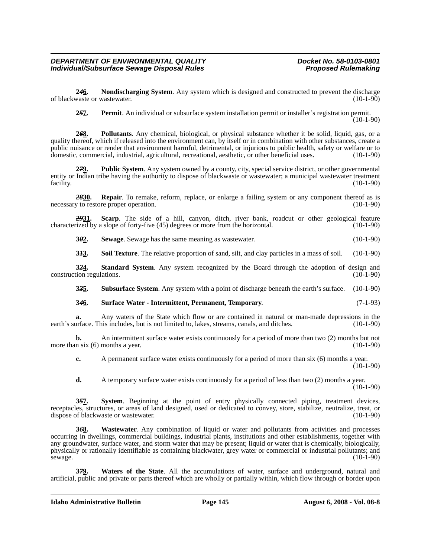**2***4***6. Nondischarging System**. Any system which is designed and constructed to prevent the discharge of blackwaste or wastewater. (10-1-90)

**2***5***7. Permit**. An individual or subsurface system installation permit or installer's registration permit.

 $(10-1-90)$ 

**2***6***8. Pollutants**. Any chemical, biological, or physical substance whether it be solid, liquid, gas, or a quality thereof, which if released into the environment can, by itself or in combination with other substances, create a public nuisance or render that environment harmful, detrimental, or injurious to public health, safety or welfare or to domestic, commercial, industrial, agricultural, recreational, aesthetic, or other beneficial uses. (10-1-90)

**2***7***9. Public System**. Any system owned by a county, city, special service district, or other governmental entity or Indian tribe having the authority to dispose of blackwaste or wastewater; a municipal wastewater treatment facility. (10-1-90)

*28***30. Repair**. To remake, reform, replace, or enlarge a failing system or any component thereof as is necessary to restore proper operation. (10-1-90)

*29***31. Scarp**. The side of a hill, canyon, ditch, river bank, roadcut or other geological feature characterized by a slope of forty-five (45) degrees or more from the horizontal. (10-1-90)

**3***0***2. Sewage**. Sewage has the same meaning as wastewater. (10-1-90)

**3***1***3. Soil Texture**. The relative proportion of sand, silt, and clay particles in a mass of soil. (10-1-90)

**324.** Standard System. Any system recognized by the Board through the adoption of design and tion regulations. (10-1-90) construction regulations.

**3***3***5. Subsurface System**. Any system with a point of discharge beneath the earth's surface. (10-1-90)

### **3***4***6. Surface Water - Intermittent, Permanent, Temporary**. (7-1-93)

**a.** Any waters of the State which flow or are contained in natural or man-made depressions in the urface. This includes, but is not limited to, lakes, streams, canals, and ditches. (10-1-90) earth's surface. This includes, but is not limited to, lakes, streams, canals, and ditches.

**b.** An intermittent surface water exists continuously for a period of more than two (2) months but not more than six  $(6)$  months a year. (10-1-90)

**c.** A permanent surface water exists continuously for a period of more than six (6) months a year.  $(10-1-90)$ 

**d.** A temporary surface water exists continuously for a period of less than two (2) months a year.  $(10-1-90)$ 

**3***5***7. System**. Beginning at the point of entry physically connected piping, treatment devices, receptacles, structures, or areas of land designed, used or dedicated to convey, store, stabilize, neutralize, treat, or dispose of blackwaste or wastewater. (10-1-90)

**3***6***8. Wastewater**. Any combination of liquid or water and pollutants from activities and processes occurring in dwellings, commercial buildings, industrial plants, institutions and other establishments, together with any groundwater, surface water, and storm water that may be present; liquid or water that is chemically, biologically, physically or rationally identifiable as containing blackwater, grey water or commercial or industrial pollutants; and sewage. (10-1-90)

**3***7***9. Waters of the State**. All the accumulations of water, surface and underground, natural and artificial, public and private or parts thereof which are wholly or partially within, which flow through or border upon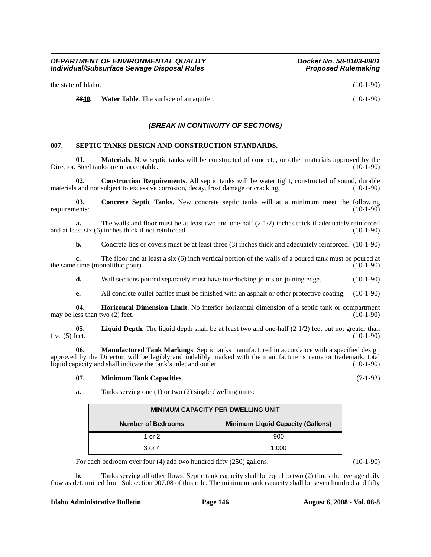the state of Idaho. (10-1-90)

**3840.** Water Table. The surface of an aquifer. (10-1-90)

## *(BREAK IN CONTINUITY OF SECTIONS)*

## **007. SEPTIC TANKS DESIGN AND CONSTRUCTION STANDARDS.**

**01. Materials**. New septic tanks will be constructed of concrete, or other materials approved by the Steel tanks are unacceptable. (10-1-90) Director. Steel tanks are unacceptable.

**02. Construction Requirements**. All septic tanks will be water tight, constructed of sound, durable s and not subject to excessive corrosion, decay, frost damage or cracking. (10-1-90) materials and not subject to excessive corrosion, decay, frost damage or cracking.

**03.** Concrete Septic Tanks. New concrete septic tanks will at a minimum meet the following ents: (10-1-90) requirements:

**a.** The walls and floor must be at least two and one-half (2 1/2) inches thick if adequately reinforced ast six (6) inches thick if not reinforced. (10-1-90) and at least six  $(6)$  inches thick if not reinforced.

**b.** Concrete lids or covers must be at least three (3) inches thick and adequately reinforced. (10-1-90)

**c.** The floor and at least a six (6) inch vertical portion of the walls of a poured tank must be poured at the same time (monolithic pour). (10-1-90)

**d.** Wall sections poured separately must have interlocking joints on joining edge.  $(10-1-90)$ 

**e.** All concrete outlet baffles must be finished with an asphalt or other protective coating. (10-1-90)

**04. Horizontal Dimension Limit**. No interior horizontal dimension of a septic tank or compartment may be less than two  $(2)$  feet.

**05.** Liquid Depth. The liquid depth shall be at least two and one-half (2 1/2) feet but not greater than five (5) feet. (10-1-90) five (5) feet.  $(10-1-90)$ 

**06. Manufactured Tank Markings**. Septic tanks manufactured in accordance with a specified design approved by the Director, will be legibly and indelibly marked with the manufacturer's name or trademark, total liquid capacity and shall indicate the tank's inlet and outlet. (10-1-90) liquid capacity and shall indicate the tank's inlet and outlet.

#### **07. Minimum Tank Capacities**. (7-1-93)

**a.** Tanks serving one (1) or two (2) single dwelling units:

| <b>MINIMUM CAPACITY PER DWELLING UNIT</b>                             |     |  |  |
|-----------------------------------------------------------------------|-----|--|--|
| <b>Number of Bedrooms</b><br><b>Minimum Liquid Capacity (Gallons)</b> |     |  |  |
| 1 or $2$                                                              | 900 |  |  |
| 3 or 4<br>1.000                                                       |     |  |  |

For each bedroom over four (4) add two hundred fifty (250) gallons. (10-1-90)

**b.** Tanks serving all other flows. Septic tank capacity shall be equal to two (2) times the average daily flow as determined from Subsection 007.08 of this rule. The minimum tank capacity shall be seven hundred and fifty

**Idaho Administrative Bulletin Page 146 August 6, 2008 - Vol. 08-8**

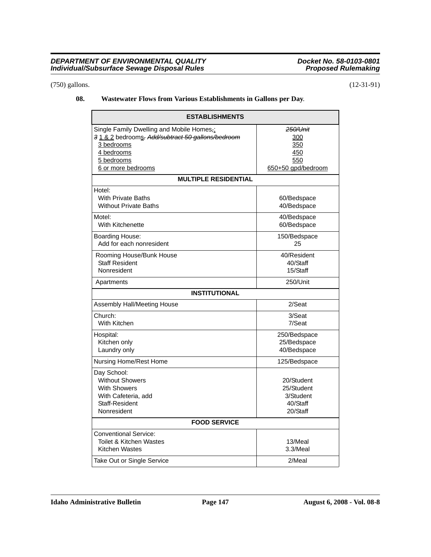## (750) gallons. (12-31-91)

## **08. Wastewater Flows from Various Establishments in Gallons per Day**.

| <b>ESTABLISHMENTS</b>                                                                                                                                         |                                                                   |  |  |
|---------------------------------------------------------------------------------------------------------------------------------------------------------------|-------------------------------------------------------------------|--|--|
| Single Family Dwelling and Mobile Homes,:<br>31 & 2 bedrooms. Add/subtract 50 gallons/bedroom<br>3 bedrooms<br>4 bedrooms<br>5 bedrooms<br>6 or more bedrooms | 250/Unit<br><u>300</u><br>350<br>450<br>550<br>650+50 gpd/bedroom |  |  |
| <b>MULTIPLE RESIDENTIAL</b>                                                                                                                                   |                                                                   |  |  |
| Hotel:<br><b>With Private Baths</b><br><b>Without Private Baths</b>                                                                                           | 60/Bedspace<br>40/Bedspace                                        |  |  |
| Motel:<br>With Kitchenette                                                                                                                                    | 40/Bedspace<br>60/Bedspace                                        |  |  |
| Boarding House:<br>Add for each nonresident                                                                                                                   | 150/Bedspace<br>25                                                |  |  |
| Rooming House/Bunk House<br><b>Staff Resident</b><br>Nonresident                                                                                              | 40/Resident<br>40/Staff<br>15/Staff                               |  |  |
| Apartments                                                                                                                                                    | 250/Unit                                                          |  |  |
| <b>INSTITUTIONAL</b>                                                                                                                                          |                                                                   |  |  |
| Assembly Hall/Meeting House                                                                                                                                   | 2/Seat                                                            |  |  |
| Church:<br>With Kitchen                                                                                                                                       | 3/Seat<br>7/Seat                                                  |  |  |
| Hospital:<br>Kitchen only<br>Laundry only                                                                                                                     | 250/Bedspace<br>25/Bedspace<br>40/Bedspace                        |  |  |
| Nursing Home/Rest Home                                                                                                                                        | 125/Bedspace                                                      |  |  |
| Day School:<br><b>Without Showers</b><br><b>With Showers</b><br>With Cafeteria, add<br>Staff-Resident<br>Nonresident                                          | 20/Student<br>25/Student<br>3/Student<br>40/Staff<br>20/Staff     |  |  |
| <b>FOOD SERVICE</b>                                                                                                                                           |                                                                   |  |  |
| <b>Conventional Service:</b><br>Toilet & Kitchen Wastes<br>Kitchen Wastes                                                                                     | 13/Meal<br>3.3/Meal                                               |  |  |
| Take Out or Single Service                                                                                                                                    | 2/Meal                                                            |  |  |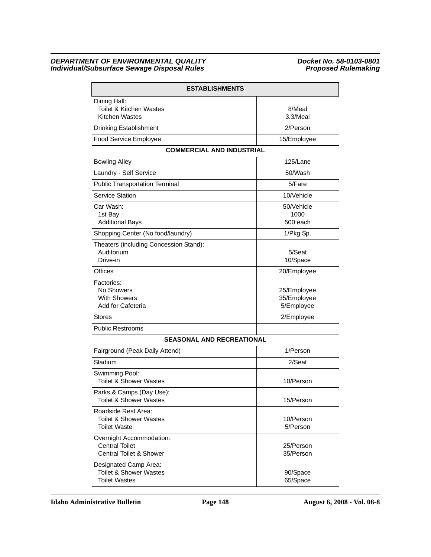| <b>ESTABLISHMENTS</b>                                                              |                                          |  |  |
|------------------------------------------------------------------------------------|------------------------------------------|--|--|
| Dining Hall:<br><b>Toilet &amp; Kitchen Wastes</b><br>Kitchen Wastes               | 8/Meal<br>3.3/Meal                       |  |  |
| <b>Drinking Establishment</b>                                                      | 2/Person                                 |  |  |
| Food Service Employee                                                              | 15/Employee                              |  |  |
| <b>COMMERCIAL AND INDUSTRIAL</b>                                                   |                                          |  |  |
| <b>Bowling Alley</b>                                                               | 125/Lane                                 |  |  |
| Laundry - Self Service                                                             | 50/Wash                                  |  |  |
| <b>Public Transportation Terminal</b>                                              | 5/Fare                                   |  |  |
| Service Station                                                                    | 10/Vehicle                               |  |  |
| Car Wash:<br>1st Bay<br><b>Additional Bays</b>                                     | 50/Vehicle<br>1000<br>$500$ each         |  |  |
| Shopping Center (No food/laundry)                                                  | 1/Pkg.Sp.                                |  |  |
| Theaters (including Concession Stand):<br>Auditorium<br>Drive-in                   | 5/Seat<br>10/Space                       |  |  |
| Offices                                                                            | 20/Employee                              |  |  |
| Factories:<br>No Showers<br><b>With Showers</b><br>Add for Cafeteria               | 25/Employee<br>35/Employee<br>5/Employee |  |  |
| Stores                                                                             | 2/Employee                               |  |  |
| <b>Public Restrooms</b>                                                            |                                          |  |  |
| <b>SEASONAL AND RECREATIONAL</b>                                                   |                                          |  |  |
| Fairground (Peak Daily Attend)                                                     | 1/Person                                 |  |  |
| Stadium                                                                            | 2/Seat                                   |  |  |
| Swimming Pool:<br><b>Toilet &amp; Shower Wastes</b>                                | 10/Person                                |  |  |
| Parks & Camps (Day Use):<br><b>Toilet &amp; Shower Wastes</b>                      | 15/Person                                |  |  |
| Roadside Rest Area:<br><b>Toilet &amp; Shower Wastes</b><br><b>Toilet Waste</b>    | 10/Person<br>5/Person                    |  |  |
| Overnight Accommodation:<br><b>Central Toilet</b><br>Central Toilet & Shower       | 25/Person<br>35/Person                   |  |  |
| Designated Camp Area:<br><b>Toilet &amp; Shower Wastes</b><br><b>Toilet Wastes</b> | 90/Space<br>65/Space                     |  |  |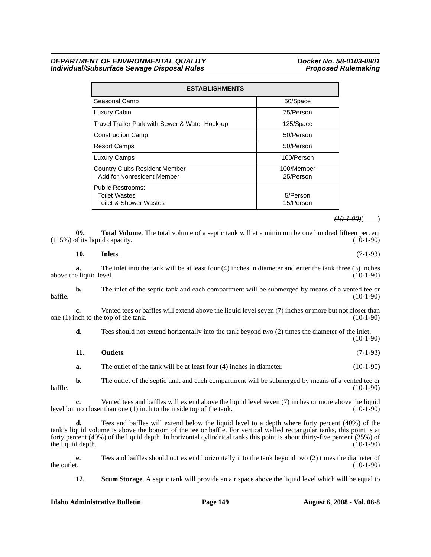| <b>ESTABLISHMENTS</b>                                                                 |                         |  |  |  |
|---------------------------------------------------------------------------------------|-------------------------|--|--|--|
| Seasonal Camp                                                                         | 50/Space                |  |  |  |
| Luxury Cabin                                                                          | 75/Person               |  |  |  |
| Travel Trailer Park with Sewer & Water Hook-up                                        | 125/Space               |  |  |  |
| <b>Construction Camp</b>                                                              | 50/Person               |  |  |  |
| <b>Resort Camps</b>                                                                   | 50/Person               |  |  |  |
| <b>Luxury Camps</b>                                                                   | 100/Person              |  |  |  |
| <b>Country Clubs Resident Member</b><br>Add for Nonresident Member                    | 100/Member<br>25/Person |  |  |  |
| <b>Public Restrooms:</b><br><b>Toilet Wastes</b><br><b>Toilet &amp; Shower Wastes</b> | 5/Person<br>15/Person   |  |  |  |

*(10-1-90)*( )

**09. Total Volume**. The total volume of a septic tank will at a minimum be one hundred fifteen percent of its liquid capacity. (10-1-90)  $(115%)$  of its liquid capacity.

# **10. Inlets**. (7-1-93)

**a.** The inlet into the tank will be at least four (4) inches in diameter and enter the tank three (3) inches e liquid level. (10-1-90) above the liquid level.

**b.** The inlet of the septic tank and each compartment will be submerged by means of a vented tee or baffle. (10-1-90)

**c.** Vented tees or baffles will extend above the liquid level seven (7) inches or more but not closer than nch to the top of the tank. (10-1-90) one  $(1)$  inch to the top of the tank.

**d.** Tees should not extend horizontally into the tank beyond two (2) times the diameter of the inlet. (10-1-90)

| 11. | Outlets. | $(7-1-93)$ |
|-----|----------|------------|
|-----|----------|------------|

**a.** The outlet of the tank will be at least four (4) inches in diameter. (10-1-90)

**b.** The outlet of the septic tank and each compartment will be submerged by means of a vented tee or baffle. (10-1-90)

**c.** Vented tees and baffles will extend above the liquid level seven (7) inches or more above the liquid level but no closer than one (1) inch to the inside top of the tank. (10-1-90)

**d.** Tees and baffles will extend below the liquid level to a depth where forty percent (40%) of the tank's liquid volume is above the bottom of the tee or baffle. For vertical walled rectangular tanks, this point is at forty percent (40%) of the liquid depth. In horizontal cylindrical tanks this point is about thirty-five percent (35%) of the liquid depth.

**e.** Tees and baffles should not extend horizontally into the tank beyond two (2) times the diameter of the outlet. (10-1-90) the outlet.  $(10-1-90)$ 

**12.** Scum Storage. A septic tank will provide an air space above the liquid level which will be equal to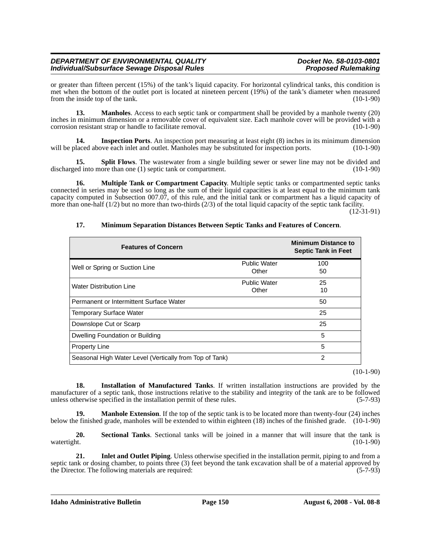or greater than fifteen percent (15%) of the tank's liquid capacity. For horizontal cylindrical tanks, this condition is met when the bottom of the outlet port is located at nineteen percent (19%) of the tank's diameter when measured from the inside top of the tank. (10-1-90)

**13. Manholes**. Access to each septic tank or compartment shall be provided by a manhole twenty (20) inches in minimum dimension or a removable cover of equivalent size. Each manhole cover will be provided with a corrosion resistant strap or handle to facilitate removal. (10-1-90) corrosion resistant strap or handle to facilitate removal.

**14. Inspection Ports**. An inspection port measuring at least eight (8) inches in its minimum dimension will be placed above each inlet and outlet. Manholes may be substituted for inspection ports. (10-1-90)

**15. Split Flows**. The wastewater from a single building sewer or sewer line may not be divided and ed into more than one (1) septic tank or compartment. (10-1-90) discharged into more than one  $(1)$  septic tank or compartment.

**16.** Multiple Tank or Compartment Capacity. Multiple septic tanks or compartmented septic tanks connected in series may be used so long as the sum of their liquid capacities is at least equal to the minimum tank capacity computed in Subsection 007.07, of this rule, and the initial tank or compartment has a liquid capacity of more than one-half  $(1/2)$  but no more than two-thirds  $(2/3)$  of the total liquid capacity of the septic tank facility.

(12-31-91)

| <b>Features of Concern</b>                              |                              | <b>Minimum Distance to</b><br><b>Septic Tank in Feet</b> |
|---------------------------------------------------------|------------------------------|----------------------------------------------------------|
| Well or Spring or Suction Line                          | <b>Public Water</b><br>Other | 100<br>50                                                |
| <b>Water Distribution Line</b>                          | <b>Public Water</b><br>Other | 25<br>10                                                 |
| Permanent or Intermittent Surface Water                 |                              | 50                                                       |
| Temporary Surface Water                                 |                              | 25                                                       |
| Downslope Cut or Scarp                                  |                              | 25                                                       |
| Dwelling Foundation or Building                         |                              | 5                                                        |
| <b>Property Line</b>                                    |                              | 5                                                        |
| Seasonal High Water Level (Vertically from Top of Tank) |                              | $\mathcal{P}$                                            |

### **17. Minimum Separation Distances Between Septic Tanks and Features of Concern**.

(10-1-90)

**18. Installation of Manufactured Tanks**. If written installation instructions are provided by the manufacturer of a septic tank, those instructions relative to the stability and integrity of the tank are to be followed unless otherwise specified in the installation permit of these rules. (5-7-93) unless otherwise specified in the installation permit of these rules.

**19. Manhole Extension**. If the top of the septic tank is to be located more than twenty-four (24) inches below the finished grade, manholes will be extended to within eighteen (18) inches of the finished grade. (10-1-90)

**20.** Sectional Tanks. Sectional tanks will be joined in a manner that will insure that the tank is watertight. (10-1-90) watertight. (10-1-90)

**21. Inlet and Outlet Piping**. Unless otherwise specified in the installation permit, piping to and from a septic tank or dosing chamber, to points three (3) feet beyond the tank excavation shall be of a material approved by the Director. The following materials are required: (5-7-93)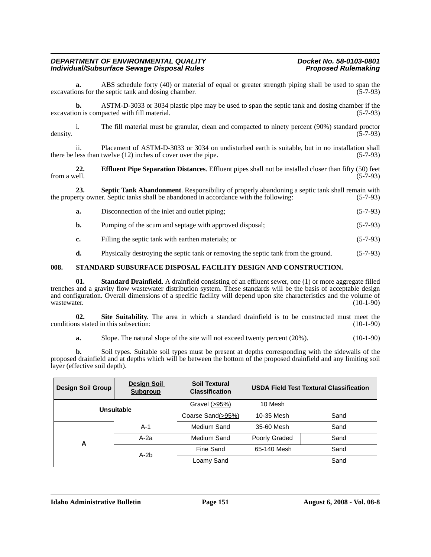# i. The fill material must be granular, clean and compacted to ninety percent (90%) standard proctor density.  $(5-7-93)$

*Individual/Subsurface Sewage Disposal Rules* 

excavations for the septic tank and dosing chamber.

ii. Placement of ASTM-D-3033 or 3034 on undisturbed earth is suitable, but in no installation shall less than twelve (12) inches of cover over the pipe. (5-7-93) there be less than twelve  $(12)$  inches of cover over the pipe.

excavation is compacted with fill material. (5-7-93)

**a.** ABS schedule forty (40) or material of equal or greater strength piping shall be used to span the ons for the septic tank and dosing chamber. (5-7-93)

**b.** ASTM-D-3033 or 3034 plastic pipe may be used to span the septic tank and dosing chamber if the

**22. Effluent Pipe Separation Distances**. Effluent pipes shall not be installed closer than fifty (50) feet from a well. (5-7-93) from a well.  $(5-7-93)$ 

**23. Septic Tank Abandonment**. Responsibility of properly abandoning a septic tank shall remain with rety owner. Septic tanks shall be abandoned in accordance with the following: (5-7-93) the property owner. Septic tanks shall be abandoned in accordance with the following:

|  | Disconnection of the inlet and outlet piping; | $(5-7-93)$ |
|--|-----------------------------------------------|------------|
|--|-----------------------------------------------|------------|

- **b.** Pumping of the scum and septage with approved disposal; (5-7-93)
- **c.** Filling the septic tank with earthen materials; or (5-7-93)
- **d.** Physically destroying the septic tank or removing the septic tank from the ground. (5-7-93)

## **008. STANDARD SUBSURFACE DISPOSAL FACILITY DESIGN AND CONSTRUCTION.**

**01.** Standard Drainfield. A drainfield consisting of an effluent sewer, one (1) or more aggregate filled trenches and a gravity flow wastewater distribution system. These standards will be the basis of acceptable design and configuration. Overall dimensions of a specific facility will depend upon site characteristics and the volume of wastewater. (10-1-90)

**02.** Site Suitability. The area in which a standard drainfield is to be constructed must meet the is stated in this subsection: (10-1-90) conditions stated in this subsection:

**a.** Slope. The natural slope of the site will not exceed twenty percent (20%). (10-1-90)

**b.** Soil types. Suitable soil types must be present at depths corresponding with the sidewalls of the proposed drainfield and at depths which will be between the bottom of the proposed drainfield and any limiting soil layer (effective soil depth).

| <b>Design Soil Group</b> | <b>Design Soil</b><br><b>Subgroup</b> | <b>Soil Textural</b><br><b>Classification</b> |               | <b>USDA Field Test Textural Classification</b> |
|--------------------------|---------------------------------------|-----------------------------------------------|---------------|------------------------------------------------|
| Unsuitable               |                                       | Gravel (>95%)                                 | 10 Mesh       |                                                |
|                          |                                       | Coarse Sand(>95%)                             | 10-35 Mesh    | Sand                                           |
|                          | $A-1$                                 | Medium Sand                                   | 35-60 Mesh    | Sand                                           |
| Α                        | A-2a                                  | Medium Sand                                   | Poorly Graded | Sand                                           |
|                          | $A-2b$                                | Fine Sand                                     | 65-140 Mesh   | Sand                                           |
|                          |                                       | Loamy Sand                                    |               | Sand                                           |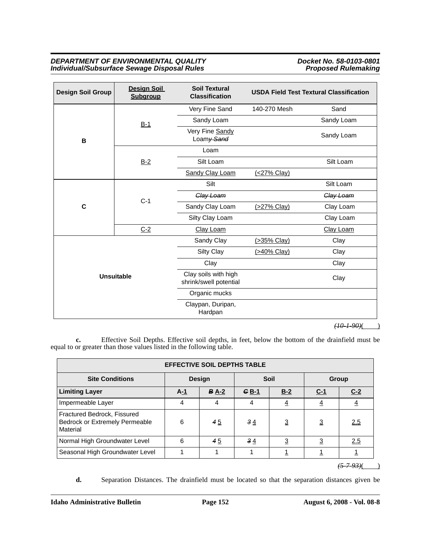| <b>Design Soil Group</b> | <b>Design Soil</b><br><b>Subgroup</b> | <b>Soil Textural</b><br><b>Classification</b>  | <b>USDA Field Test Textural Classification</b> |            |
|--------------------------|---------------------------------------|------------------------------------------------|------------------------------------------------|------------|
|                          |                                       | Very Fine Sand                                 | 140-270 Mesh                                   | Sand       |
|                          | $B-1$                                 | Sandy Loam                                     |                                                | Sandy Loam |
| B                        |                                       | Very Fine Sandy<br>Loamy Sand                  |                                                | Sandy Loam |
|                          |                                       | Loam                                           |                                                |            |
|                          | $B-2$                                 | Silt Loam                                      |                                                | Silt Loam  |
|                          |                                       | Sandy Clay Loam                                | (<27% Clay)                                    |            |
|                          | $C-1$                                 | Silt                                           |                                                | Silt Loam  |
|                          |                                       | Clay Loam                                      |                                                | Clay Loam  |
| C                        |                                       | Sandy Clay Loam                                | (>27% Clay)                                    | Clay Loam  |
|                          |                                       | Silty Clay Loam                                |                                                | Clay Loam  |
|                          | $C-2$                                 | Clay Loam                                      |                                                | Clay Loam  |
|                          |                                       | Sandy Clay                                     | (>35% Clay)                                    | Clay       |
|                          |                                       | Silty Clay                                     | (>40% Clay)                                    | Clay       |
| <b>Unsuitable</b>        |                                       | Clay                                           |                                                | Clay       |
|                          |                                       | Clay soils with high<br>shrink/swell potential |                                                | Clay       |
|                          |                                       | Organic mucks                                  |                                                |            |
|                          |                                       | Claypan, Duripan,<br>Hardpan                   |                                                |            |

 $(10-1.90)$ ( )

**c.** Effective Soil Depths. Effective soil depths, in feet, below the bottom of the drainfield must be equal to or greater than those values listed in the following table.

| <b>EFFECTIVE SOIL DEPTHS TABLE</b>                                        |               |                  |         |                |                |                |  |  |
|---------------------------------------------------------------------------|---------------|------------------|---------|----------------|----------------|----------------|--|--|
| <b>Site Conditions</b>                                                    | <b>Design</b> |                  | Soil    |                | Group          |                |  |  |
| <b>Limiting Layer</b>                                                     | $A-1$         | $B \triangle -2$ | $G_B-1$ | $B-2$          | $C-1$          | $C-2$          |  |  |
| Impermeable Layer                                                         | 4             | 4                | 4       | $\overline{4}$ | 4              | $\overline{4}$ |  |  |
| Fractured Bedrock, Fissured<br>Bedrock or Extremely Permeable<br>Material | 6             | 45               | 34      | $\overline{3}$ | $\overline{3}$ | 2.5            |  |  |
| Normal High Groundwater Level                                             | 6             | 45               | 34      | $\overline{3}$ | $\overline{3}$ | 2.5            |  |  |
| Seasonal High Groundwater Level                                           |               |                  |         |                |                |                |  |  |

 $(5 - 7 - 93)$ (

**d.** Separation Distances. The drainfield must be located so that the separation distances given be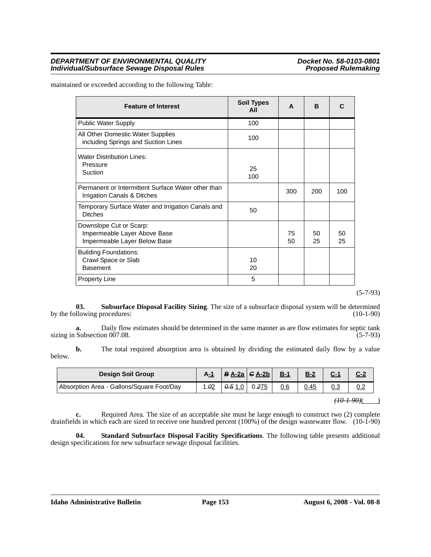| <b>Feature of Interest</b>                                                              | <b>Soil Types</b><br>All | A        | <sub>B</sub> |          |
|-----------------------------------------------------------------------------------------|--------------------------|----------|--------------|----------|
| <b>Public Water Supply</b>                                                              | 100                      |          |              |          |
| All Other Domestic Water Supplies<br>including Springs and Suction Lines                | 100                      |          |              |          |
| <b>Water Distribution Lines:</b><br>Pressure<br>Suction                                 | 25<br>100                |          |              |          |
| Permanent or Intermittent Surface Water other than<br>Irrigation Canals & Ditches       |                          | 300      | 200          | 100      |
| Temporary Surface Water and Irrigation Canals and<br><b>Ditches</b>                     | 50                       |          |              |          |
| Downslope Cut or Scarp:<br>Impermeable Layer Above Base<br>Impermeable Layer Below Base |                          | 75<br>50 | 50<br>25     | 50<br>25 |
| <b>Building Foundations:</b><br>Crawl Space or Slab<br><b>Basement</b>                  | 10<br>20                 |          |              |          |
| <b>Property Line</b>                                                                    | 5                        |          |              |          |

maintained or exceeded according to the following Table:

(5-7-93)

**03.** Subsurface Disposal Facility Sizing. The size of a subsurface disposal system will be determined llowing procedures: (10-1-90) by the following procedures:

**a.** Daily flow estimates should be determined in the same manner as are flow estimates for septic tank sizing in Subsection 007.08. (5-7-93)

**b.** The total required absorption area is obtained by dividing the estimated daily flow by a value below.

| <b>Design Soil Group</b>                  | A-1 |       | $B \underline{A-2a}$ $G \underline{A-2b}$ | $B-1$ | $B-2$ |  |
|-------------------------------------------|-----|-------|-------------------------------------------|-------|-------|--|
| Absorption Area - Gallons/Square Foot/Day | .02 | 0.510 | 0.275                                     | 0.6   | 0.45  |  |

 $(10-1-90)$ ( )

**c.** Required Area. The size of an acceptable site must be large enough to construct two (2) complete drainfields in which each are sized to receive one hundred percent (100%) of the design wastewater flow. (10-1-90)

**04. Standard Subsurface Disposal Facility Specifications**. The following table presents additional design specifications for new subsurface sewage disposal facilities.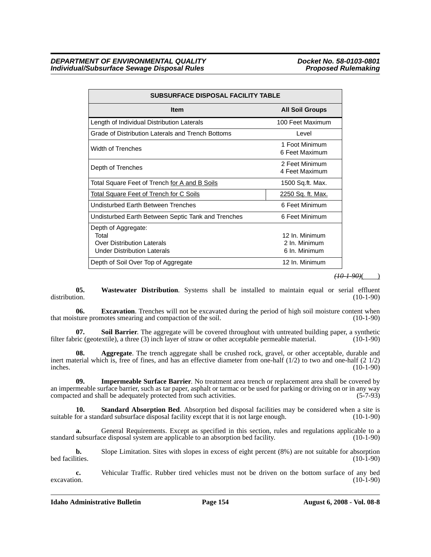| <b>SUBSURFACE DISPOSAL FACILITY TABLE</b>                                                               |                                                  |  |  |  |  |
|---------------------------------------------------------------------------------------------------------|--------------------------------------------------|--|--|--|--|
| <b>Item</b>                                                                                             | <b>All Soil Groups</b>                           |  |  |  |  |
| Length of Individual Distribution Laterals                                                              | 100 Feet Maximum                                 |  |  |  |  |
| Grade of Distribution Laterals and Trench Bottoms                                                       | Level                                            |  |  |  |  |
| <b>Width of Trenches</b>                                                                                | 1 Foot Minimum<br>6 Feet Maximum                 |  |  |  |  |
| Depth of Trenches                                                                                       | 2 Feet Minimum<br>4 Feet Maximum                 |  |  |  |  |
| Total Square Feet of Trench for A and B Soils                                                           | 1500 Sq.ft. Max.                                 |  |  |  |  |
| <b>Total Square Feet of Trench for C Soils</b>                                                          | <u>2250 Sq. ft. Max.</u>                         |  |  |  |  |
| Undisturbed Earth Between Trenches                                                                      | 6 Feet Minimum                                   |  |  |  |  |
| Undisturbed Earth Between Septic Tank and Trenches                                                      | 6 Feet Minimum                                   |  |  |  |  |
| Depth of Aggregate:<br>Total<br><b>Over Distribution Laterals</b><br><b>Under Distribution Laterals</b> | 12 In. Minimum<br>2 In. Minimum<br>6 In. Minimum |  |  |  |  |
| Depth of Soil Over Top of Aggregate                                                                     | 12 In. Minimum                                   |  |  |  |  |

#### *(10-1-90)*( )

**05.** Wastewater Distribution. Systems shall be installed to maintain equal or serial effluent distribution. (10-1-90) distribution. (10-1-90)

**06. Excavation**. Trenches will not be excavated during the period of high soil moisture content when that moisture promotes smearing and compaction of the soil. (10-1-90)

**07. Soil Barrier**. The aggregate will be covered throughout with untreated building paper, a synthetic filter fabric (geotextile), a three (3) inch layer of straw or other acceptable permeable material. (10-1-90)

**08. Aggregate**. The trench aggregate shall be crushed rock, gravel, or other acceptable, durable and inert material which is, free of fines, and has an effective diameter from one-half  $(1/2)$  to two and one-half  $(2 \ 1/2)$  inches. inches.  $(10-1-90)$ 

**09. Impermeable Surface Barrier**. No treatment area trench or replacement area shall be covered by an impermeable surface barrier, such as tar paper, asphalt or tarmac or be used for parking or driving on or in any way  $compacted$  and shall be adequately protected from such activities.  $(5-7-93)$ 

**10. Standard Absorption Bed**. Absorption bed disposal facilities may be considered when a site is for a standard subsurface disposal facility except that it is not large enough. (10-1-90) suitable for a standard subsurface disposal facility except that it is not large enough.

**a.** General Requirements. Except as specified in this section, rules and regulations applicable to a standard subsurface disposal system are applicable to an absorption bed facility. (10-1-90)

**b.** Slope Limitation. Sites with slopes in excess of eight percent (8%) are not suitable for absorption bed facilities. (10-1-90) bed facilities.  $(10-1-90)$ 

**c.** Vehicular Traffic. Rubber tired vehicles must not be driven on the bottom surface of any bed excavation. (10-1-90)  $excavation.$  (10-1-90)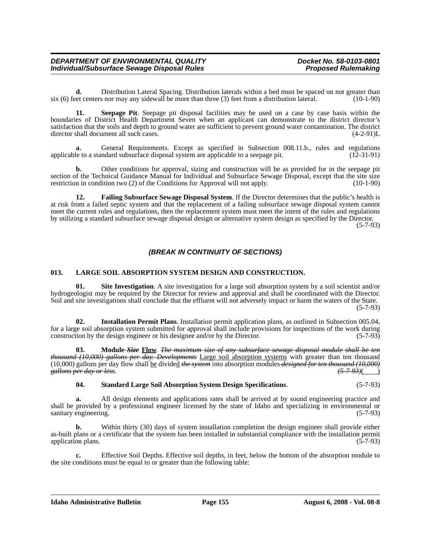**d.** Distribution Lateral Spacing. Distribution laterals within a bed must be spaced on not greater than ever than the expansion of greater than three (3) feet from a distribution lateral. (10-1-90) six  $(6)$  feet centers nor may any sidewall be more than three  $(3)$  feet from a distribution lateral.

**11. Seepage Pit**. Seepage pit disposal facilities may be used on a case by case basis within the boundaries of District Health Department Seven when an applicant can demonstrate to the district director's satisfaction that the soils and depth to ground water are sufficient to prevent ground water contamination. The district director shall document all such cases. (4-2-91)L

General Requirements. Except as specified in Subsection 008.11.b., rules and regulations indeard subsurface disposal system are applicable to a seepage pit. (12-31-91) applicable to a standard subsurface disposal system are applicable to a seepage pit.

**b.** Other conditions for approval, sizing and construction will be as provided for in the seepage pit section of the Technical Guidance Manual for Individual and Subsurface Sewage Disposal, except that the site size restriction in condition two (2) of the Conditions for Approval will not apply. (10-1-90)

**12. Failing Subsurface Sewage Disposal System**. If the Director determines that the public's health is at risk from a failed septic system and that the replacement of a failing subsurface sewage disposal system cannot meet the current rules and regulations, then the replacement system must meet the intent of the rules and regulations by utilizing a standard subsurface sewage disposal design or alternative system design as specified by the Director.

(5-7-93)

## *(BREAK IN CONTINUITY OF SECTIONS)*

## **013. LARGE SOIL ABSORPTION SYSTEM DESIGN AND CONSTRUCTION.**

**01. Site Investigation**. A site investigation for a large soil absorption system by a soil scientist and/or hydrogeologist may be required by the Director for review and approval and shall be coordinated with the Director. Soil and site investigations shall conclude that the effluent will not adversely impact or harm the waters of the State.  $(5 - 7 - 93)$ 

**02. Installation Permit Plans**. Installation permit application plans, as outlined in Subsection 005.04, for a large soil absorption system submitted for approval shall include provisions for inspections of the work during construction by the design engineer or his designee and/or by the Director.

**03. Module** *Size* **Flow**. *The maximum size of any subsurface sewage disposal module shall be ten thousand (10,000) gallons per day. Developments* Large soil absorption systems with greater than ten thousand (10,000) gallons per day flow shall be divided *the system* into absorption modules *designed for ten thousand (10,000) gallons per day or less*. *(5-7-93)*( )

### **04. Standard Large Soil Absorption System Design Specifications**. (5-7-93)

**a.** All design elements and applications rates shall be arrived at by sound engineering practice and shall be provided by a professional engineer licensed by the state of Idaho and specializing in environmental or sanitary engineering. (5-7-93)

**b.** Within thirty (30) days of system installation completion the design engineer shall provide either as-built plans or a certificate that the system has been installed in substantial compliance with the installation permit application plans. (5-7-93) application plans.

**c.** Effective Soil Depths. Effective soil depths, in feet, below the bottom of the absorption module to the site conditions must be equal to or greater than the following table: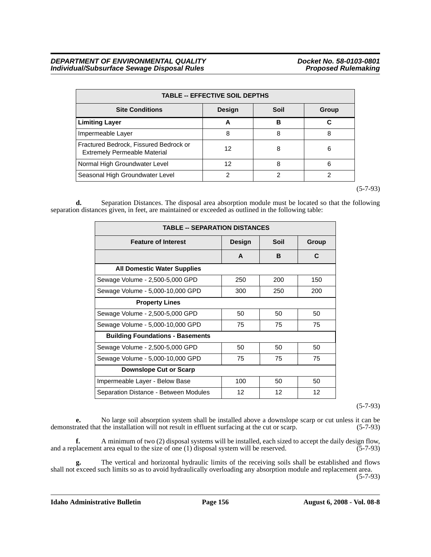| <b>TABLE -- EFFECTIVE SOIL DEPTHS</b>                                         |               |      |       |  |  |  |
|-------------------------------------------------------------------------------|---------------|------|-------|--|--|--|
| <b>Site Conditions</b>                                                        | <b>Design</b> | Soil | Group |  |  |  |
| <b>Limiting Layer</b>                                                         | A             | в    | С     |  |  |  |
| Impermeable Layer                                                             | 8             | 8    | 8     |  |  |  |
| Fractured Bedrock, Fissured Bedrock or<br><b>Extremely Permeable Material</b> | 12            | 8    | 6     |  |  |  |
| Normal High Groundwater Level                                                 | 12            | 8    | 6     |  |  |  |
| Seasonal High Groundwater Level                                               |               |      | っ     |  |  |  |

(5-7-93)

**d.** Separation Distances. The disposal area absorption module must be located so that the following separation distances given, in feet, are maintained or exceeded as outlined in the following table:

| <b>TABLE -- SEPARATION DISTANCES</b>    |        |     |     |  |  |  |
|-----------------------------------------|--------|-----|-----|--|--|--|
| <b>Feature of Interest</b>              | Design |     |     |  |  |  |
|                                         | A      | B   | C   |  |  |  |
| <b>All Domestic Water Supplies</b>      |        |     |     |  |  |  |
| Sewage Volume - 2,500-5,000 GPD         | 250    | 200 | 150 |  |  |  |
| Sewage Volume - 5,000-10,000 GPD        | 300    | 250 | 200 |  |  |  |
| <b>Property Lines</b>                   |        |     |     |  |  |  |
| Sewage Volume - 2,500-5,000 GPD         | 50     | 50  | 50  |  |  |  |
| Sewage Volume - 5,000-10,000 GPD        | 75     | 75  | 75  |  |  |  |
| <b>Building Foundations - Basements</b> |        |     |     |  |  |  |
| Sewage Volume - 2,500-5,000 GPD         | 50     | 50  | 50  |  |  |  |
| Sewage Volume - 5,000-10,000 GPD        | 75     | 75  | 75  |  |  |  |
| <b>Downslope Cut or Scarp</b>           |        |     |     |  |  |  |
| Impermeable Layer - Below Base          | 100    | 50  | 50  |  |  |  |
| Separation Distance - Between Modules   | 12     | 12  | 12  |  |  |  |

(5-7-93)

**e.** No large soil absorption system shall be installed above a downslope scarp or cut unless it can be rated that the installation will not result in effluent surfacing at the cut or scarp.  $(5-7-93)$ demonstrated that the installation will not result in effluent surfacing at the cut or scarp.

**f.** A minimum of two (2) disposal systems will be installed, each sized to accept the daily design flow, blacement area equal to the size of one (1) disposal system will be reserved. (5-7-93) and a replacement area equal to the size of one  $(1)$  disposal system will be reserved.

**g.** The vertical and horizontal hydraulic limits of the receiving soils shall be established and flows shall not exceed such limits so as to avoid hydraulically overloading any absorption module and replacement area.

(5-7-93)